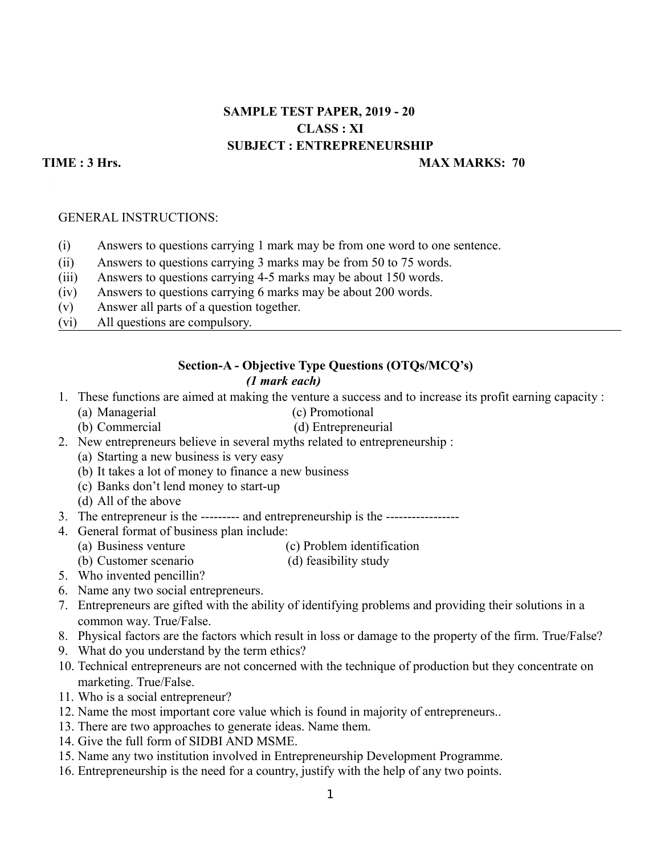# **SAMPLE TEST PAPER, 2019 - 20 CLASS : XI SUBJECT : ENTREPRENEURSHIP**

## **TIME : 3 Hrs.** MAX MARKS: 70

#### GENERAL INSTRUCTIONS:

- (i) Answers to questions carrying 1 mark may be from one word to one sentence.
- (ii) Answers to questions carrying 3 marks may be from 50 to 75 words.
- (iii) Answers to questions carrying 4-5 marks may be about 150 words.
- (iv) Answers to questions carrying 6 marks may be about 200 words.
- (v) Answer all parts of a question together.
- (vi) All questions are compulsory.

## **Section-A - Objective Type Questions (OTQs/MCQ's)** *(1 mark each)*

- 1. These functions are aimed at making the venture a success and to increase its profit earning capacity :
	- (a) Managerial (c) Promotional
	- (b) Commercial (d) Entrepreneurial
- 2. New entrepreneurs believe in several myths related to entrepreneurship :
	- (a) Starting a new business is very easy
	- (b) It takes a lot of money to finance a new business
	- (c) Banks don't lend money to start-up
	- (d) All of the above
- 3. The entrepreneur is the --------- and entrepreneurship is the -----------------
- 4. General format of business plan include:
	- (a) Business venture (c) Problem identification
	- (b) Customer scenario (d) feasibility study
- 5. Who invented pencillin?
- 6. Name any two social entrepreneurs.
- 7. Entrepreneurs are gifted with the ability of identifying problems and providing their solutions in a common way. True/False.
- 8. Physical factors are the factors which result in loss or damage to the property of the firm. True/False?
- 9. What do you understand by the term ethics?
- 10. Technical entrepreneurs are not concerned with the technique of production but they concentrate on marketing. True/False.
- 11. Who is a social entrepreneur?
- 12. Name the most important core value which is found in majority of entrepreneurs..
- 13. There are two approaches to generate ideas. Name them.
- 14. Give the full form of SIDBI AND MSME.
- 15. Name any two institution involved in Entrepreneurship Development Programme.
- 16. Entrepreneurship is the need for a country, justify with the help of any two points.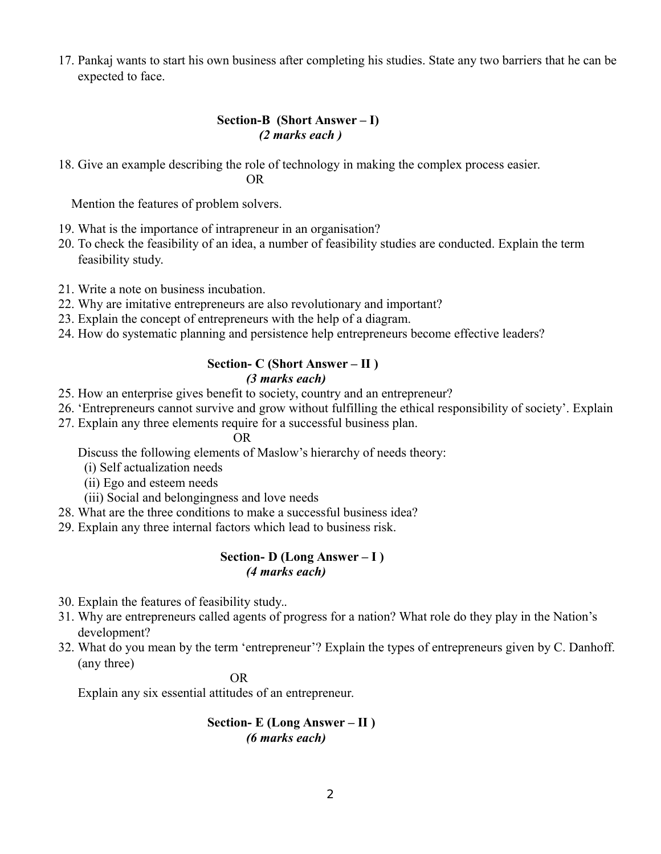17. Pankaj wants to start his own business after completing his studies. State any two barriers that he can be expected to face.

## **Section-B (Short Answer – I)** *(2 marks each )*

18. Give an example describing the role of technology in making the complex process easier. OR

Mention the features of problem solvers.

- 19. What is the importance of intrapreneur in an organisation?
- 20. To check the feasibility of an idea, a number of feasibility studies are conducted. Explain the term feasibility study.
- 21. Write a note on business incubation.
- 22. Why are imitative entrepreneurs are also revolutionary and important?
- 23. Explain the concept of entrepreneurs with the help of a diagram.
- 24. How do systematic planning and persistence help entrepreneurs become effective leaders?

# **Section- C (Short Answer – II )**  *(3 marks each)*

- 25. How an enterprise gives benefit to society, country and an entrepreneur?
- 26. 'Entrepreneurs cannot survive and grow without fulfilling the ethical responsibility of society'. Explain
- 27. Explain any three elements require for a successful business plan.

## **OR** OR

Discuss the following elements of Maslow's hierarchy of needs theory:

- (i) Self actualization needs
- (ii) Ego and esteem needs
- (iii) Social and belongingness and love needs
- 28. What are the three conditions to make a successful business idea?
- 29. Explain any three internal factors which lead to business risk.

## **Section- D (Long Answer – I )** *(4 marks each)*

- 30. Explain the features of feasibility study..
- 31. Why are entrepreneurs called agents of progress for a nation? What role do they play in the Nation's development?
- 32. What do you mean by the term 'entrepreneur'? Explain the types of entrepreneurs given by C. Danhoff. (any three)

# **OR** OR

Explain any six essential attitudes of an entrepreneur.

## **Section- E (Long Answer – II )**  *(6 marks each)*